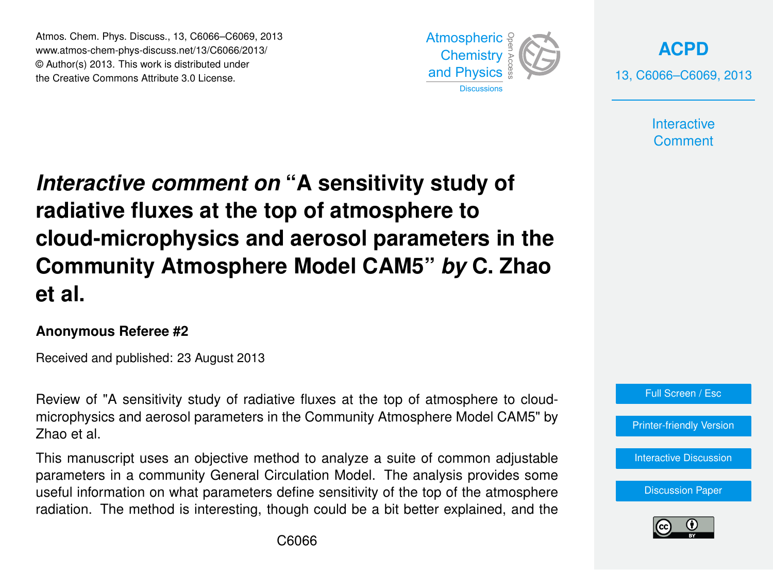Atmos. Chem. Phys. Discuss., 13, C6066–C6069, 2013 Atmospheric www.atmos-chem-phys-discuss.net/13/C6066/2013/<br>@ Author(a) 2012, This work is distributed under © Author(s) 2013. This work is distributed under the Creative Commons Attribute 3.0 License.



**[ACPD](http://www.atmos-chem-phys-discuss.net)** 13, C6066–C6069, 2013

> **Interactive Comment**

## *Interactive comment on* "A sensitivity study of Open Access  $\mathsf{f}$ radiative fluxes at the top of atmosphere to cle e us **Community Atmosphere Model CAM5"** *by* **C. Zhao** Open Access  $\overline{z}$ cloud-microphysics and aerosol parameters in the **et al.**

## **Anonymous Referee #2**

Received and published: 23 August 2013

Review of "A sensitivity study of radiative fluxes at the top of atmosphere to cloudmicrophysics and aerosol parameters in the Community Atmosphere Model CAM5" by ve<br>th ic<br>A Zhao et al.

me management assessment parameters analysis a safe of common adjections parameters in a community General Circulation Model. The analysis provides some parameters in a community control encounter model. The analysis presence come<br>useful information on what parameters define sensitivity of the top of the atmosphere io<br>Cl زاد<br>Oc This manuscript uses an objective method to analyze a suite of common adjustable radiation. The method is interesting, though could be a bit better explained, and the



[Printer-friendly Version](http://www.atmos-chem-phys-discuss.net/13/C6066/2013/acpd-13-C6066-2013-print.pdf)

[Interactive Discussion](http://www.atmos-chem-phys-discuss.net/13/12135/2013/acpd-13-12135-2013-discussion.html)

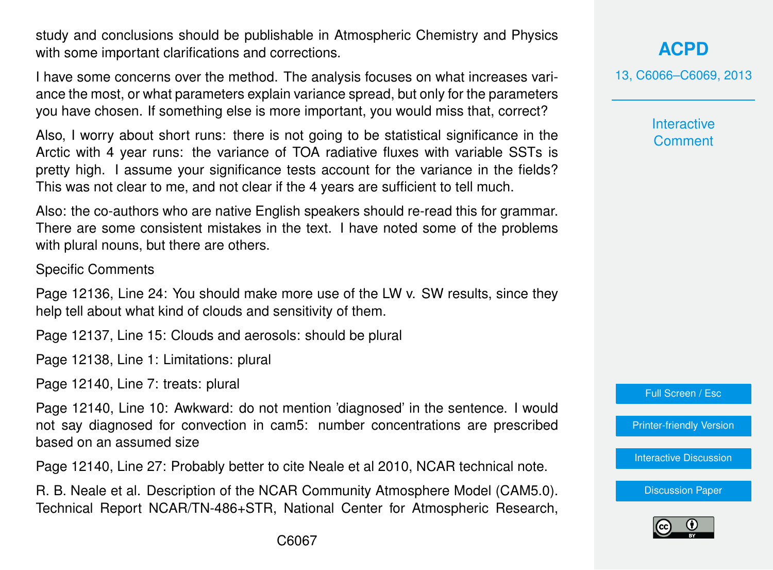study and conclusions should be publishable in Atmospheric Chemistry and Physics with some important clarifications and corrections.

I have some concerns over the method. The analysis focuses on what increases variance the most, or what parameters explain variance spread, but only for the parameters you have chosen. If something else is more important, you would miss that, correct?

Also, I worry about short runs: there is not going to be statistical significance in the Arctic with 4 year runs: the variance of TOA radiative fluxes with variable SSTs is pretty high. I assume your significance tests account for the variance in the fields? This was not clear to me, and not clear if the 4 years are sufficient to tell much.

Also: the co-authors who are native English speakers should re-read this for grammar. There are some consistent mistakes in the text. I have noted some of the problems with plural nouns, but there are others.

Specific Comments

Page 12136, Line 24: You should make more use of the LW v. SW results, since they help tell about what kind of clouds and sensitivity of them.

Page 12137, Line 15: Clouds and aerosols: should be plural

Page 12138, Line 1: Limitations: plural

Page 12140, Line 7: treats: plural

Page 12140, Line 10: Awkward: do not mention 'diagnosed' in the sentence. I would not say diagnosed for convection in cam5: number concentrations are prescribed based on an assumed size

Page 12140, Line 27: Probably better to cite Neale et al 2010, NCAR technical note.

R. B. Neale et al. Description of the NCAR Community Atmosphere Model (CAM5.0). Technical Report NCAR/TN-486+STR, National Center for Atmospheric Research, **[ACPD](http://www.atmos-chem-phys-discuss.net)**

13, C6066–C6069, 2013

**Interactive Comment** 

Full Screen / Esc

[Printer-friendly Version](http://www.atmos-chem-phys-discuss.net/13/C6066/2013/acpd-13-C6066-2013-print.pdf)

[Interactive Discussion](http://www.atmos-chem-phys-discuss.net/13/12135/2013/acpd-13-12135-2013-discussion.html)

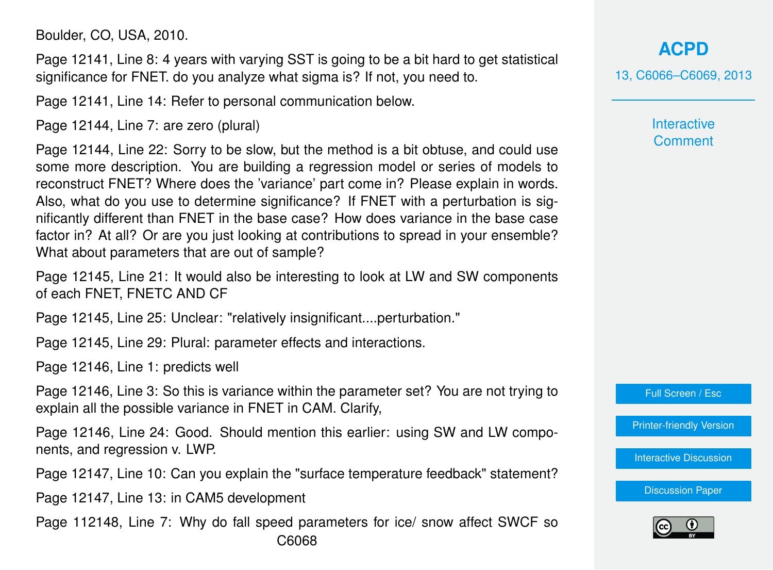Boulder, CO, USA, 2010.

Page 12141, Line 8: 4 years with varying SST is going to be a bit hard to get statistical significance for FNET. do you analyze what sigma is? If not, you need to.

Page 12141, Line 14: Refer to personal communication below.

Page 12144, Line 7: are zero (plural)

Page 12144, Line 22: Sorry to be slow, but the method is a bit obtuse, and could use some more description. You are building a regression model or series of models to reconstruct FNET? Where does the 'variance' part come in? Please explain in words. Also, what do you use to determine significance? If FNET with a perturbation is significantly different than FNET in the base case? How does variance in the base case factor in? At all? Or are you just looking at contributions to spread in your ensemble? What about parameters that are out of sample?

Page 12145, Line 21: It would also be interesting to look at LW and SW components of each FNET, FNETC AND CF

Page 12145, Line 25: Unclear: "relatively insignificant....perturbation."

Page 12145, Line 29: Plural: parameter effects and interactions.

Page 12146, Line 1: predicts well

Page 12146, Line 3: So this is variance within the parameter set? You are not trying to explain all the possible variance in FNET in CAM. Clarify,

Page 12146, Line 24: Good. Should mention this earlier: using SW and LW components, and regression v. LWP.

Page 12147, Line 10: Can you explain the "surface temperature feedback" statement?

Page 12147, Line 13: in CAM5 development

Page 112148, Line 7: Why do fall speed parameters for ice/ snow affect SWCF so C6068

**[ACPD](http://www.atmos-chem-phys-discuss.net)** 13, C6066–C6069, 2013

> **Interactive Comment**

Full Screen / Esc

[Printer-friendly Version](http://www.atmos-chem-phys-discuss.net/13/C6066/2013/acpd-13-C6066-2013-print.pdf)

[Interactive Discussion](http://www.atmos-chem-phys-discuss.net/13/12135/2013/acpd-13-12135-2013-discussion.html)